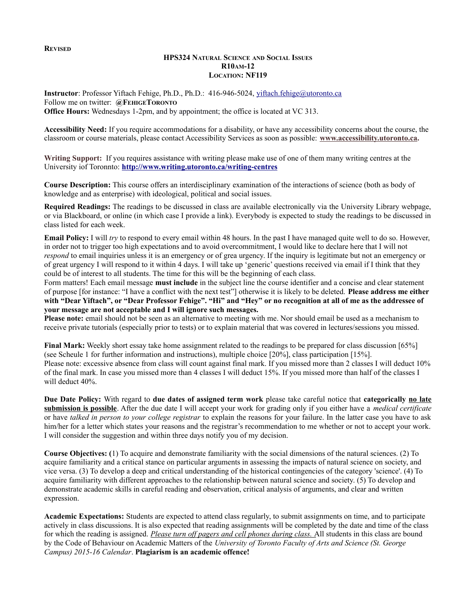**REVISED**

#### **HPS324 NATURAL SCIENCE AND SOCIAL ISSUES R10AM-12 LOCATION: NF119**

**Instructor**: Professor Yiftach Fehige, Ph.D., Ph.D.: 416-946-5024, [yiftach.fehige@utoronto.ca](mailto:yiftach.fehige@utoronto.ca) Follow me on twitter: **@FEHIGETORONTO Office Hours:** Wednesdays 1-2pm, and by appointment; the office is located at VC 313.

**Accessibility Need:** If you require accommodations for a disability, or have any accessibility concerns about the course, the classroom or course materials, please contact Accessibility Services as soon as possible: **[www.accessibility.utoronto.ca.](http://www.accessibility.utoronto.ca/)**

**Writing Support:** If you requires assistance with writing please make use of one of them many writing centres at the University iof Toronnto: **<http://www.writing.utoronto.ca/writing-centres>**

**Course Description:** This course offers an interdisciplinary examination of the interactions of science (both as body of knowledge and as enterprise) with ideological, political and social issues.

**Required Readings:** The readings to be discussed in class are available electronically via the University Library webpage, or via Blackboard, or online (in which case I provide a link). Everybody is expected to study the readings to be discussed in class listed for each week.

**Email Policy:** I will *try* to respond to every email within 48 hours. In the past I have managed quite well to do so. However, in order not to trigger too high expectations and to avoid overcommitment, I would like to declare here that I will not *respond* to email inquiries unless it is an emergency or of grea urgency. If the inquiry is legitimate but not an emergency or of great urgency I will respond to it within 4 days. I will take up 'generic' questions received via email if I think that they could be of interest to all students. The time for this will be the beginning of each class.

Form matters! Each email message **must include** in the subject line the course identifier and a concise and clear statement of purpose [for instance: "I have a conflict with the next test"] otherwise it is likely to be deleted. **Please address me either with "Dear Yiftach", or "Dear Professor Fehige". "Hi" and "Hey" or no recognition at all of me as the addressee of your message are not acceptable and I will ignore such messages.** 

**Please note:** email should not be seen as an alternative to meeting with me. Nor should email be used as a mechanism to receive private tutorials (especially prior to tests) or to explain material that was covered in lectures/sessions you missed.

**Final Mark:** Weekly short essay take home assignment related to the readings to be prepared for class discussion [65%] (see Scheule 1 for further information and instructions), multiple choice [20%], class participation [15%]. Please note: excessive absence from class will count against final mark. If you missed more than 2 classes I will deduct 10% of the final mark. In case you missed more than 4 classes I will deduct 15%. If you missed more than half of the classes I will deduct 40%.

**Due Date Policy:** With regard to **due dates of assigned term work** please take careful notice that **categorically no late submission is possible**. After the due date I will accept your work for grading only if you either have a *medical certificate* or have *talked in person to your college registrar* to explain the reasons for your failure. In the latter case you have to ask him/her for a letter which states your reasons and the registrar's recommendation to me whether or not to accept your work. I will consider the suggestion and within three days notify you of my decision.

**Course Objectives: (**1) To acquire and demonstrate familiarity with the social dimensions of the natural sciences. (2) To acquire familiarity and a critical stance on particular arguments in assessing the impacts of natural science on society, and vice versa. (3) To develop a deep and critical understanding of the historical contingencies of the category 'science'. (4) To acquire familiarity with different approaches to the relationship between natural science and society. (5) To develop and demonstrate academic skills in careful reading and observation, critical analysis of arguments, and clear and written expression.

**Academic Expectations:** Students are expected to attend class regularly, to submit assignments on time, and to participate actively in class discussions. It is also expected that reading assignments will be completed by the date and time of the class for which the reading is assigned. *Please turn off pagers and cell phones during class.* All students in this class are bound by the Code of Behaviour on Academic Matters of the *University of Toronto Faculty of Arts and Science (St. George Campus) 2015-16 Calendar*. **Plagiarism is an academic offence!**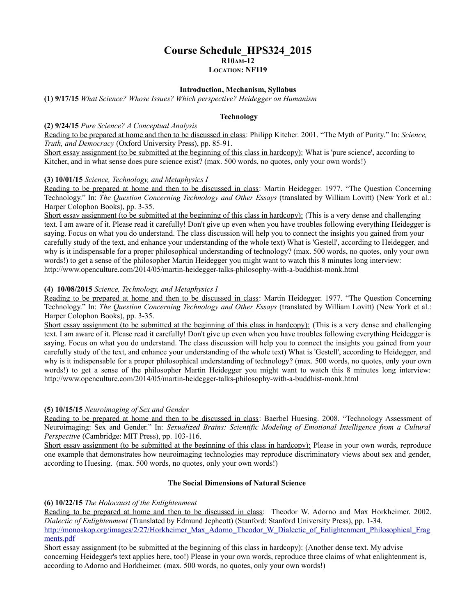## **Course Schedule\_HPS324\_2015 R10AM-12 LOCATION: NF119**

#### **Introduction, Mechanism, Syllabus**

**(1) 9/17/15** *What Science? Whose Issues? Which perspective? Heidegger on Humanism* 

#### **Technology**

#### **(2) 9/24/15** *Pure Science? A Conceptual Analysis*

Reading to be prepared at home and then to be discussed in class: Philipp Kitcher. 2001. "The Myth of Purity." In: *Science, Truth, and Democracy* (Oxford University Press), pp. 85-91.

Short essay assignment (to be submitted at the beginning of this class in hardcopy): What is 'pure science', according to Kitcher, and in what sense does pure science exist? (max. 500 words, no quotes, only your own words!)

#### **(3) 10/01/15** *Science, Technology, and Metaphysics I*

Reading to be prepared at home and then to be discussed in class: Martin Heidegger. 1977. "The Question Concerning Technology." In: *The Question Concerning Technology and Other Essays* (translated by William Lovitt) (New York et al.: Harper Colophon Books), pp. 3-35.

Short essay assignment (to be submitted at the beginning of this class in hardcopy): (This is a very dense and challenging text. I am aware of it. Please read it carefully! Don't give up even when you have troubles following everything Heidegger is saying. Focus on what you do understand. The class discussion will help you to connect the insights you gained from your carefully study of the text, and enhance your understanding of the whole text) What is 'Gestell', according to Heidegger, and why is it indispensable for a proper philosophical understanding of technology? (max. 500 words, no quotes, only your own words!) to get a sense of the philosopher Martin Heidegger you might want to watch this 8 minutes long interview: http://www.openculture.com/2014/05/martin-heidegger-talks-philosophy-with-a-buddhist-monk.html

#### **(4) 10/08/2015** *Science, Technology, and Metaphysics I*

Reading to be prepared at home and then to be discussed in class: Martin Heidegger. 1977. "The Question Concerning Technology." In: *The Question Concerning Technology and Other Essays* (translated by William Lovitt) (New York et al.: Harper Colophon Books), pp. 3-35.

Short essay assignment (to be submitted at the beginning of this class in hardcopy): (This is a very dense and challenging text. I am aware of it. Please read it carefully! Don't give up even when you have troubles following everything Heidegger is saying. Focus on what you do understand. The class discussion will help you to connect the insights you gained from your carefully study of the text, and enhance your understanding of the whole text) What is 'Gestell', according to Heidegger, and why is it indispensable for a proper philosophical understanding of technology? (max. 500 words, no quotes, only your own words!) to get a sense of the philosopher Martin Heidegger you might want to watch this 8 minutes long interview: http://www.openculture.com/2014/05/martin-heidegger-talks-philosophy-with-a-buddhist-monk.html

#### **(5) 10/15/15** *Neuroimaging of Sex and Gender*

Reading to be prepared at home and then to be discussed in class: Baerbel Huesing. 2008. "Technology Assessment of Neuroimaging: Sex and Gender." In: *Sexualized Brains: Scientific Modeling of Emotional Intelligence from a Cultural Perspective* (Cambridge: MIT Press), pp. 103-116.

Short essay assignment (to be submitted at the beginning of this class in hardcopy): Please in your own words, reproduce one example that demonstrates how neuroimaging technologies may reproduce discriminatory views about sex and gender, according to Huesing. (max. 500 words, no quotes, only your own words!)

#### **The Social Dimensions of Natural Science**

#### **(6) 10/22/15** *The Holocaust of the Enlightenment*

Reading to be prepared at home and then to be discussed in class: Theodor W. Adorno and Max Horkheimer. 2002. *Dialectic of Enlightenment* (Translated by Edmund Jephcott) (Stanford: Stanford University Press), pp. 1-34. [http://monoskop.org/images/2/27/Horkheimer\\_Max\\_Adorno\\_Theodor\\_W\\_Dialectic\\_of\\_Enlightenment\\_Philosophical\\_Frag](http://monoskop.org/images/2/27/Horkheimer_Max_Adorno_Theodor_W_Dialectic_of_Enlightenment_Philosophical_Fragments.pdf) [ments.pdf](http://monoskop.org/images/2/27/Horkheimer_Max_Adorno_Theodor_W_Dialectic_of_Enlightenment_Philosophical_Fragments.pdf)

Short essay assignment (to be submitted at the beginning of this class in hardcopy): (Another dense text. My advise concerning Heidegger's text applies here, too!) Please in your own words, reproduce three claims of what enlightenment is, according to Adorno and Horkheimer. (max. 500 words, no quotes, only your own words!)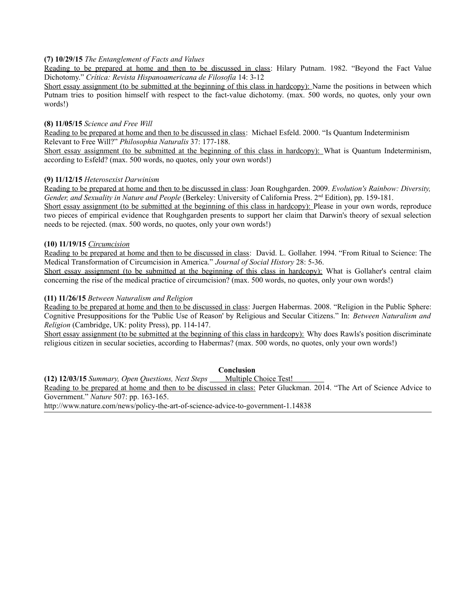#### **(7) 10/29/15** *The Entanglement of Facts and Values*

Reading to be prepared at home and then to be discussed in class: Hilary Putnam. 1982. "Beyond the Fact Value Dichotomy." *Crítica: Revista Hispanoamericana de Filosofía* 14: 3-12

Short essay assignment (to be submitted at the beginning of this class in hardcopy): Name the positions in between which Putnam tries to position himself with respect to the fact-value dichotomy. (max. 500 words, no quotes, only your own words!)

#### **(8) 11/05/15** *Science and Free Will*

Reading to be prepared at home and then to be discussed in class: Michael Esfeld. 2000. "Is Quantum Indeterminism Relevant to Free Will?" *Philosophia Naturalis* 37: 177-188.

Short essay assignment (to be submitted at the beginning of this class in hardcopy): What is Quantum Indeterminism, according to Esfeld? (max. 500 words, no quotes, only your own words!)

#### **(9) 11/12/15** *Heterosexist Darwinism*

Reading to be prepared at home and then to be discussed in class: Joan Roughgarden. 2009. *Evolution's Rainbow: Diversity, Gender, and Sexuality in Nature and People* (Berkeley: University of California Press. 2<sup>nd</sup> Edition), pp. 159-181.

Short essay assignment (to be submitted at the beginning of this class in hardcopy): Please in your own words, reproduce two pieces of empirical evidence that Roughgarden presents to support her claim that Darwin's theory of sexual selection needs to be rejected. (max. 500 words, no quotes, only your own words!)

#### **(10) 11/19/15** *Circumcision*

Reading to be prepared at home and then to be discussed in class: David. L. Gollaher. 1994. "From Ritual to Science: The Medical Transformation of Circumcision in America." *Journal of Social History* 28: 5-36.

Short essay assignment (to be submitted at the beginning of this class in hardcopy): What is Gollaher's central claim concerning the rise of the medical practice of circumcision? (max. 500 words, no quotes, only your own words!)

#### **(11) 11/26/15** *Between Naturalism and Religion*

Reading to be prepared at home and then to be discussed in class: Juergen Habermas. 2008. "Religion in the Public Sphere: Cognitive Presuppositions for the 'Public Use of Reason' by Religious and Secular Citizens." In: *Between Naturalism and Religion* (Cambridge, UK: polity Press), pp. 114-147.

Short essay assignment (to be submitted at the beginning of this class in hardcopy): Why does Rawls's position discriminate religious citizen in secular societies, according to Habermas? (max. 500 words, no quotes, only your own words!)

#### **Conclusion**

**(12) 12/03/15** *Summary, Open Questions, Next Steps \_\_\_\_ Multiple Choice Test!* Reading to be prepared at home and then to be discussed in class: Peter Gluckman. 2014. "The Art of Science Advice to Government." *Nature* 507: pp. 163-165. http://www.nature.com/news/policy-the-art-of-science-advice-to-government-1.14838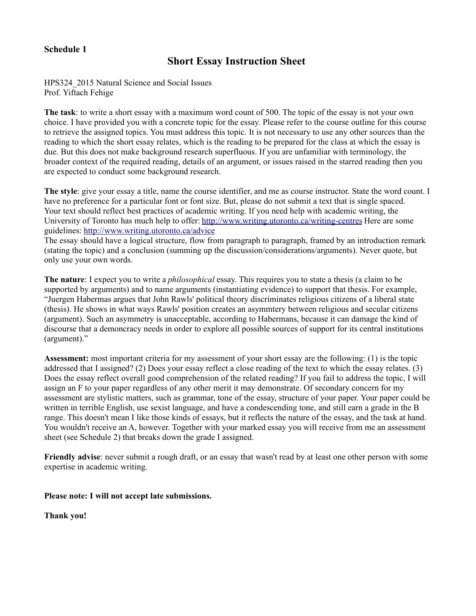## **Schedule 1**

# **Short Essay Instruction Sheet**

HPS324\_2015 Natural Science and Social Issues Prof. Yiftach Fehige

**The task**: to write a short essay with a maximum word count of 500. The topic of the essay is not your own choice. I have provided you with a concrete topic for the essay. Please refer to the course outline for this course to retrieve the assigned topics. You must address this topic. It is not necessary to use any other sources than the reading to which the short essay relates, which is the reading to be prepared for the class at which the essay is due. But this does not make background research superfluous. If you are unfamiliar with terminology, the broader context of the required reading, details of an argument, or issues raised in the starred reading then you are expected to conduct some background research.

**The style**: give your essay a title, name the course identifier, and me as course instructor. State the word count. I have no preference for a particular font or font size. But, please do not submit a text that is single spaced. Your text should reflect best practices of academic writing. If you need help with academic writing, the University of Toronto has much help to offer:<http://www.writing.utoronto.ca/writing-centres>Here are some guidelines:<http://www.writing.utoronto.ca/advice>

The essay should have a logical structure, flow from paragraph to paragraph, framed by an introduction remark (stating the topic) and a conclusion (summing up the discussion/considerations/arguments). Never quote, but only use your own words.

**The nature**: I expect you to write a *philosophical* essay. This requires you to state a thesis (a claim to be supported by arguments) and to name arguments (instantiating evidence) to support that thesis. For example, "Juergen Habermas argues that John Rawls' political theory discriminates religious citizens of a liberal state (thesis). He shows in what ways Rawls' position creates an asymmtery between religious and secular citizens (argument). Such an asymmetry is unacceptable, according to Habermans, because it can damage the kind of discourse that a demoncracy needs in order to explore all possible sources of support for its central institutions (argument)."

**Assessment:** most important criteria for my assessment of your short essay are the following: (1) is the topic addressed that I assigned? (2) Does your essay reflect a close reading of the text to which the essay relates. (3) Does the essay reflect overall good comprehension of the related reading? If you fail to address the topic, I will assign an F to your paper regardless of any other merit it may demonstrate. Of secondary concern for my assessment are stylistic matters, such as grammar, tone of the essay, structure of your paper. Your paper could be written in terrible English, use sexist language, and have a condescending tone, and still earn a grade in the B range. This doesn't mean I like those kinds of essays, but it reflects the nature of the essay, and the task at hand. You wouldn't receive an A, however. Together with your marked essay you will receive from me an assessment sheet (see Schedule 2) that breaks down the grade I assigned.

**Friendly advise**: never submit a rough draft, or an essay that wasn't read by at least one other person with some expertise in academic writing.

### **Please note: I will not accept late submissions.**

**Thank you!**